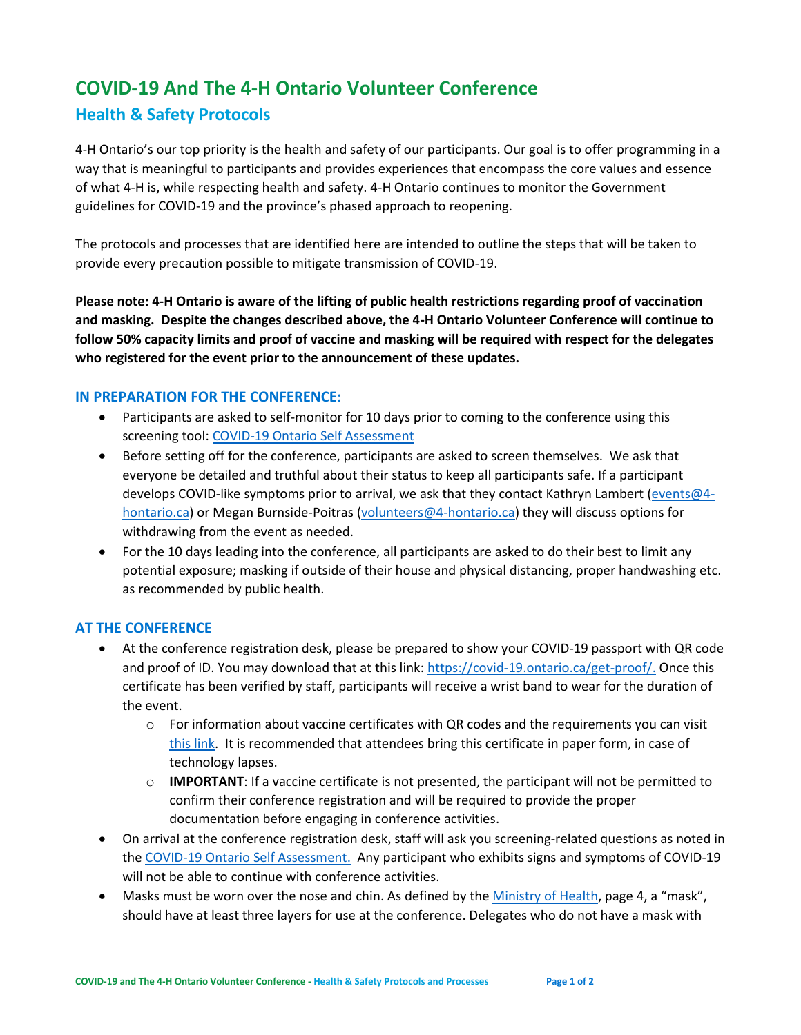# **COVID-19 And The 4-H Ontario Volunteer Conference**

## **Health & Safety Protocols**

4-H Ontario's our top priority is the health and safety of our participants. Our goal is to offer programming in a way that is meaningful to participants and provides experiences that encompass the core values and essence of what 4-H is, while respecting health and safety. 4-H Ontario continues to monitor the Government guidelines for COVID-19 and the province's phased approach to reopening.

The protocols and processes that are identified here are intended to outline the steps that will be taken to provide every precaution possible to mitigate transmission of COVID-19.

**Please note: 4-H Ontario is aware of the lifting of public health restrictions regarding proof of vaccination and masking. Despite the changes described above, the 4-H Ontario Volunteer Conference will continue to follow 50% capacity limits and proof of vaccine and masking will be required with respect for the delegates who registered for the event prior to the announcement of these updates.**

#### **IN PREPARATION FOR THE CONFERENCE:**

- Participants are asked to self-monitor for 10 days prior to coming to the conference using this screening tool: [COVID-19 Ontario Self Assessment](https://covid-19.ontario.ca/self-assessment/)
- Before setting off for the conference, participants are asked to screen themselves. We ask that everyone be detailed and truthful about their status to keep all participants safe. If a participant develops COVID-like symptoms prior to arrival, we ask that they contact Kathryn Lambert [\(events@4](mailto:events@4-hontario.ca) [hontario.ca\)](mailto:events@4-hontario.ca) or Megan Burnside-Poitras [\(volunteers@4-hontario.ca\)](mailto:volunteers@4-hontario.ca) they will discuss options for withdrawing from the event as needed.
- For the 10 days leading into the conference, all participants are asked to do their best to limit any potential exposure; masking if outside of their house and physical distancing, proper handwashing etc. as recommended by public health.

### **AT THE CONFERENCE**

- At the conference registration desk, please be prepared to show your COVID-19 passport with QR code and proof of ID. You may download that at this link: [https://covid-19.ontario.ca/get-proof/.](https://covid-19.ontario.ca/get-proof/) Once this certificate has been verified by staff, participants will receive a wrist band to wear for the duration of the event.
	- $\circ$  For information about vaccine certificates with QR codes and the requirements you can visit [this link.](https://covid-19.ontario.ca/proof-covid-19-vaccination#enhanced-vaccine-certificates-with-qr-codes) It is recommended that attendees bring this certificate in paper form, in case of technology lapses.
	- o **IMPORTANT**: If a vaccine certificate is not presented, the participant will not be permitted to confirm their conference registration and will be required to provide the proper documentation before engaging in conference activities.
- On arrival at the conference registration desk, staff will ask you screening-related questions as noted in the [COVID-19 Ontario Self Assessment.](https://covid-19.ontario.ca/self-assessment/) Any participant who exhibits signs and symptoms of COVID-19 will not be able to continue with conference activities.
- Masks must be worn over the nose and chin. As defined by the [Ministry of Health,](chrome-extension://efaidnbmnnnibpcajpcglclefindmkaj/viewer.html?pdfurl=https%3A%2F%2Fwww.health.gov.on.ca%2Fen%2Fpro%2Fprograms%2Fpublichealth%2Fcoronavirus%2Fdocs%2Fguidance_for_camps.pdf&clen=221259&chunk=true) page 4, a "mask", should have at least three layers for use at the conference. Delegates who do not have a mask with